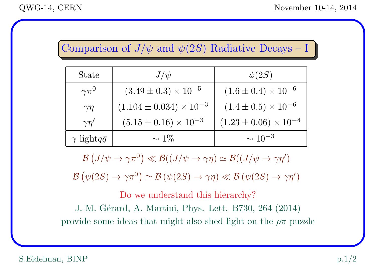## Comparison of  $J/\psi$  and  $\psi(2S)$  Radiative Decays – I

| <b>State</b>              | $J/\psi$                           | $\psi(2S)$                       |
|---------------------------|------------------------------------|----------------------------------|
| $\gamma\pi^{0}$           | $(3.49 \pm 0.3) \times 10^{-5}$    | $(1.6 \pm 0.4) \times 10^{-6}$   |
| $\gamma\eta$              | $(1.104 \pm 0.034) \times 10^{-3}$ | $(1.4 \pm 0.5) \times 10^{-6}$   |
| $\gamma\eta'$             | $(5.15 \pm 0.16) \times 10^{-3}$   | $(1.23 \pm 0.06) \times 10^{-4}$ |
| $\gamma$ light $q\bar{q}$ | $\sim 1\%$                         | $\sim 10^{-3}$                   |

 $\mathcal{B}(J/\psi \to \gamma \pi^0) \ll \mathcal{B}((J/\psi \to \gamma \eta) \simeq \mathcal{B}((J/\psi \to \gamma \eta'))$ 

 $\mathcal{B}(\psi(2S) \to \gamma \pi^0) \simeq \mathcal{B}(\psi(2S) \to \gamma \eta) \ll \mathcal{B}(\psi(2S) \to \gamma \eta')$ 

Do we understand this hierarchy? J.-M. Gérard, A. Martini, Phys. Lett. B730, 264 (2014) provide some ideas that might also shed light on the  $\rho\pi$  puzzle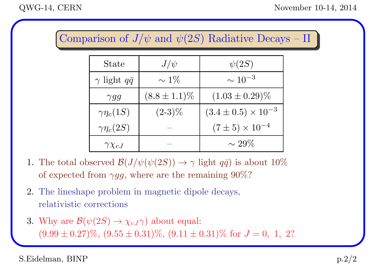Comparison of  $J/\psi$  and  $\psi(2S)$  Radiative Decays – II

| <b>State</b>              | $J/\psi$          | $\psi(2S)$                     |
|---------------------------|-------------------|--------------------------------|
| $\gamma$ light $q\bar{q}$ | $\sim 1\%$        | $\sim 10^{-3}$                 |
| $\gamma gg$               | $(8.8 \pm 1.1)\%$ | $(1.03 \pm 0.29)\%$            |
| $\gamma\eta_c(1S)$        | $(2-3)\%$         | $(3.4 \pm 0.5) \times 10^{-3}$ |
| $\gamma\eta_c(2S)$        |                   | $(7 \pm 5) \times 10^{-4}$     |
| $\gamma \chi_{cJ}$        |                   | $\sim 29\%$                    |

- 1. The total observed  $\mathcal{B}(J/\psi(\psi(2S)) \to \gamma \text{ light } q\bar{q})$  is about 10% of expected from  $\gamma gg$ , where are the remaining 90%?
- 2. The lineshape problem in magnetic dipole decays, relativistic corrections
- 3. Why are  $\mathcal{B}(\psi(2S) \to \chi_{cJ} \gamma)$  about equal:  $(9.99 \pm 0.27)\%$ ,  $(9.55 \pm 0.31)\%$ ,  $(9.11 \pm 0.31)\%$  for  $J = 0, 1, 2?$